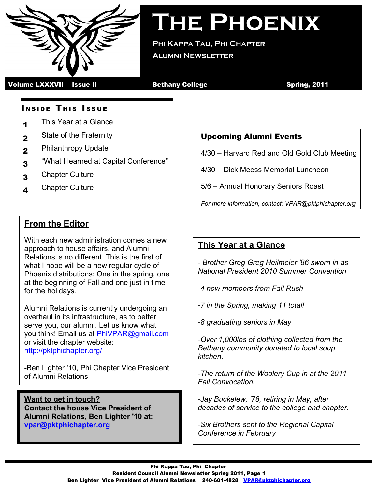

**The Phoenix**

**Phi Kappa Tau, Phi Chapter Alumni Newsletter**

Volume LXXXVII Issue II **Bethany College** Spring, 2011

### **INSIDE THIS ISSUE**

- 1 This Year at a Glance
- 2 State of the Fraternity
- 2 Philanthropy Update
- 3 "What I learned at Capital Conference"
- 3 Chapter Culture
- 4 Chapter Culture

# **From the Editor**

With each new administration comes a new approach to house affairs, and Alumni Relations is no different. This is the first of what I hope will be a new regular cycle of Phoenix distributions: One in the spring, one at the beginning of Fall and one just in time for the holidays.

Alumni Relations is currently undergoing an overhaul in its infrastructure, as to better serve you, our alumni. Let us know what you think! Email us at [PhiVPAR@gmail.com](mailto:PhiVPAR@gmail.com) or visit the chapter website: <http://pktphichapter.org/>

-Ben Lighter '10, Phi Chapter Vice President of Alumni Relations

**Want to get in touch? Contact the house Vice President of Alumni Relations, Ben Lighter '10 at:  [vpar@pktphichapter.org](mailto:PhiVPAR@gmail.com)**

### Upcoming Alumni Events

4/30 – Harvard Red and Old Gold Club Meeting

4/30 – Dick Meess Memorial Luncheon

5/6 – Annual Honorary Seniors Roast

*For more information, contact: VPAR@pktphichapter.org*

# **This Year at a Glance**

*- Brother Greg Greg Heilmeier '86 sworn in as National President 2010 Summer Convention*

-*4 new members from Fall Rush*

*-7 in the Spring, making 11 total!*

*-8 graduating seniors in May*

*-Over 1,000lbs of clothing collected from the Bethany community donated to local soup kitchen.*

*-The return of the Woolery Cup in at the 2011 Fall Convocation.*

*-Jay Buckelew, '78, retiring in May, after decades of service to the college and chapter.*

*-Six Brothers sent to the Regional Capital Conference in February*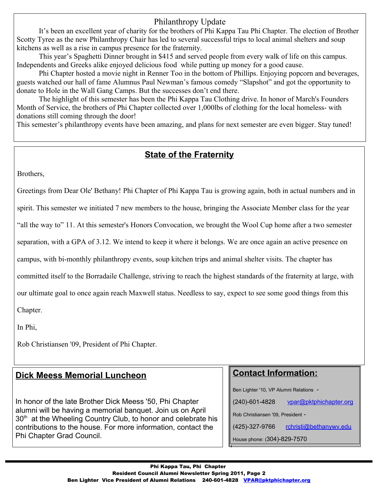## Philanthropy Update

It's been an excellent year of charity for the brothers of Phi Kappa Tau Phi Chapter. The election of Brother Scotty Tyree as the new Philanthropy Chair has led to several successful trips to local animal shelters and soup kitchens as well as a rise in campus presence for the fraternity.

This year's Spaghetti Dinner brought in \$415 and served people from every walk of life on this campus. Independents and Greeks alike enjoyed delicious food while putting up money for a good cause.

Phi Chapter hosted a movie night in Renner Too in the bottom of Phillips. Enjoying popcorn and beverages, guests watched our hall of fame Alumnus Paul Newman's famous comedy "Slapshot" and got the opportunity to donate to Hole in the Wall Gang Camps. But the successes don't end there.

The highlight of this semester has been the Phi Kappa Tau Clothing drive. In honor of March's Founders Month of Service, the brothers of Phi Chapter collected over 1,000lbs of clothing for the local homeless- with donations still coming through the door!

This semester's philanthropy events have been amazing, and plans for next semester are even bigger. Stay tuned!

# **State of the Fraternity**

Brothers,

Greetings from Dear Ole' Bethany! Phi Chapter of Phi Kappa Tau is growing again, both in actual numbers and in

spirit. This semester we initiated 7 new members to the house, bringing the Associate Member class for the year

"all the way to" 11. At this semester's Honors Convocation, we brought the Wool Cup home after a two semester

separation, with a GPA of 3.12. We intend to keep it where it belongs. We are once again an active presence on

campus, with bi-monthly philanthropy events, soup kitchen trips and animal shelter visits. The chapter has

committed itself to the Borradaile Challenge, striving to reach the highest standards of the fraternity at large, with

our ultimate goal to once again reach Maxwell status. Needless to say, expect to see some good things from this

Chapter.

In Phi,

Rob Christiansen '09, President of Phi Chapter.

# **Dick Meess Memorial Luncheon**

In honor of the late Brother Dick Meess '50, Phi Chapter alumni will be having a memorial banquet. Join us on April 30<sup>th</sup> at the Wheeling Country Club, to honor and celebrate his contributions to the house. For more information, contact the Phi Chapter Grad Council.

## **Contact Information:**

Ben Lighter '10, VP Alumni Relations -

(240)-601-4828 vpar@pktphichapter.org

Rob Christiansen '09, President -

(425)-327-9766 [rchristi@bethanywv.edu](mailto:rchristi@bethanywv.edu)

House phone: (304)-829-7570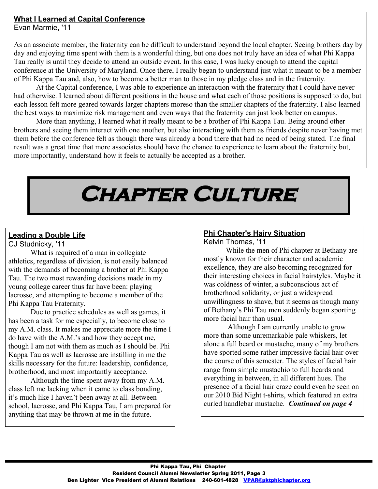### **What I Learned at Capital Conference**

Evan Marmie, '11

As an associate member, the fraternity can be difficult to understand beyond the local chapter. Seeing brothers day by day and enjoying time spent with them is a wonderful thing, but one does not truly have an idea of what Phi Kappa Tau really is until they decide to attend an outside event. In this case, I was lucky enough to attend the capital conference at the University of Maryland. Once there, I really began to understand just what it meant to be a member of Phi Kappa Tau and, also, how to become a better man to those in my pledge class and in the fraternity.

At the Capital conference, I was able to experience an interaction with the fraternity that I could have never had otherwise. I learned about different positions in the house and what each of those positions is supposed to do, but each lesson felt more geared towards larger chapters moreso than the smaller chapters of the fraternity. I also learned the best ways to maximize risk management and even ways that the fraternity can just look better on campus.

More than anything, I learned what it really meant to be a brother of Phi Kappa Tau. Being around other brothers and seeing them interact with one another, but also interacting with them as friends despite never having met them before the conference felt as though there was already a bond there that had no need of being stated. The final result was a great time that more associates should have the chance to experience to learn about the fraternity but, more importantly, understand how it feels to actually be accepted as a brother.

# **Chapter Culture**

### **Leading a Double Life**

CJ Studnicky, '11

What is required of a man in collegiate athletics, regardless of division, is not easily balanced with the demands of becoming a brother at Phi Kappa Tau. The two most rewarding decisions made in my young college career thus far have been: playing lacrosse, and attempting to become a member of the Phi Kappa Tau Fraternity.

Due to practice schedules as well as games, it has been a task for me especially, to become close to my A.M. class. It makes me appreciate more the time I do have with the A.M.'s and how they accept me, though I am not with them as much as I should be. Phi Kappa Tau as well as lacrosse are instilling in me the skills necessary for the future: leadership, confidence, brotherhood, and most importantly acceptance.

Although the time spent away from my A.M. class left me lacking when it came to class bonding, it's much like I haven't been away at all. Between school, lacrosse, and Phi Kappa Tau, I am prepared for anything that may be thrown at me in the future.

### **Phi Chapter's Hairy Situation** Kelvin Thomas, '11

While the men of Phi chapter at Bethany are mostly known for their character and academic excellence, they are also becoming recognized for their interesting choices in facial hairstyles. Maybe it was coldness of winter, a subconscious act of brotherhood solidarity, or just a widespread unwillingness to shave, but it seems as though many of Bethany's Phi Tau men suddenly began sporting more facial hair than usual.

 Although I am currently unable to grow more than some unremarkable pale whiskers, let alone a full beard or mustache, many of my brothers have sported some rather impressive facial hair over the course of this semester. The styles of facial hair range from simple mustachio to full beards and everything in between, in all different hues. The presence of a facial hair craze could even be seen on our 2010 Bid Night t-shirts, which featured an extra curled handlebar mustache. *Continued on page 4*